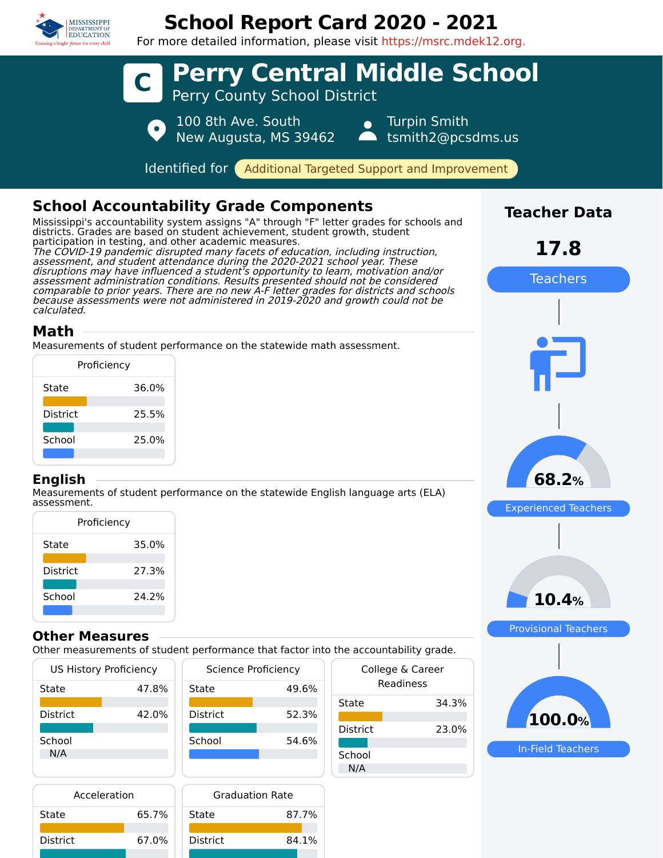

## **School Report Card 2020 - 2021**

For more detailed information, please visit https://msrc.mdek12.org.



| Acceleration    |       |  |
|-----------------|-------|--|
| State           | 65.7% |  |
| <b>District</b> | 67.0% |  |

|    | <b>Graduation Rate</b> |       |  |
|----|------------------------|-------|--|
| 7% | <b>State</b>           | 87.7% |  |
| 0% | <b>District</b>        | 84.1% |  |
|    |                        |       |  |